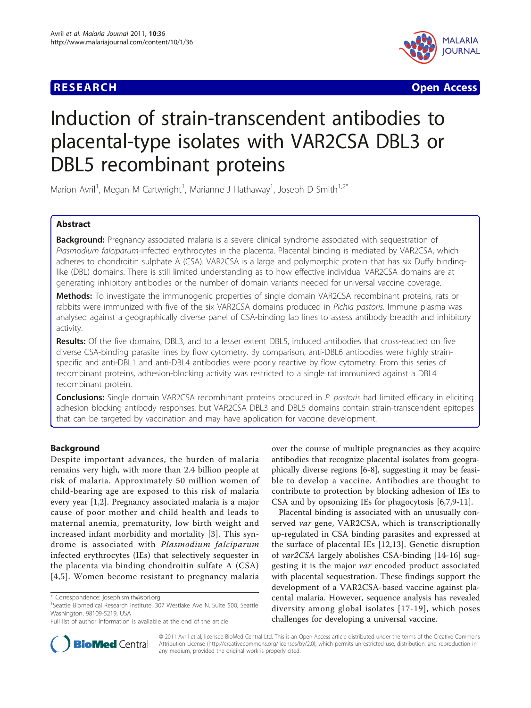## **RESEARCH CONSTRUCTION CONSTRUCTS**



# Induction of strain-transcendent antibodies to placental-type isolates with VAR2CSA DBL3 or DBL5 recombinant proteins

Marion Avril<sup>1</sup>, Megan M Cartwright<sup>1</sup>, Marianne J Hathaway<sup>1</sup>, Joseph D Smith<sup>1,2\*</sup>

## Abstract

**Background:** Pregnancy associated malaria is a severe clinical syndrome associated with sequestration of Plasmodium falciparum-infected erythrocytes in the placenta. Placental binding is mediated by VAR2CSA, which adheres to chondroitin sulphate A (CSA). VAR2CSA is a large and polymorphic protein that has six Duffy bindinglike (DBL) domains. There is still limited understanding as to how effective individual VAR2CSA domains are at generating inhibitory antibodies or the number of domain variants needed for universal vaccine coverage.

Methods: To investigate the immunogenic properties of single domain VAR2CSA recombinant proteins, rats or rabbits were immunized with five of the six VAR2CSA domains produced in Pichia pastoris. Immune plasma was analysed against a geographically diverse panel of CSA-binding lab lines to assess antibody breadth and inhibitory activity.

Results: Of the five domains, DBL3, and to a lesser extent DBL5, induced antibodies that cross-reacted on five diverse CSA-binding parasite lines by flow cytometry. By comparison, anti-DBL6 antibodies were highly strainspecific and anti-DBL1 and anti-DBL4 antibodies were poorly reactive by flow cytometry. From this series of recombinant proteins, adhesion-blocking activity was restricted to a single rat immunized against a DBL4 recombinant protein.

Conclusions: Single domain VAR2CSA recombinant proteins produced in P. pastoris had limited efficacy in eliciting adhesion blocking antibody responses, but VAR2CSA DBL3 and DBL5 domains contain strain-transcendent epitopes that can be targeted by vaccination and may have application for vaccine development.

## **Background**

Despite important advances, the burden of malaria remains very high, with more than 2.4 billion people at risk of malaria. Approximately 50 million women of child-bearing age are exposed to this risk of malaria every year [[1,2\]](#page-8-0). Pregnancy associated malaria is a major cause of poor mother and child health and leads to maternal anemia, prematurity, low birth weight and increased infant morbidity and mortality [[3\]](#page-8-0). This syndrome is associated with Plasmodium falciparum infected erythrocytes (IEs) that selectively sequester in the placenta via binding chondroitin sulfate A (CSA) [[4](#page-8-0),[5](#page-8-0)]. Women become resistant to pregnancy malaria



Placental binding is associated with an unusually conserved var gene, VAR2CSA, which is transcriptionally up-regulated in CSA binding parasites and expressed at the surface of placental IEs [[12,13](#page-9-0)]. Genetic disruption of var2CSA largely abolishes CSA-binding [\[14](#page-9-0)-[16](#page-9-0)] suggesting it is the major var encoded product associated with placental sequestration. These findings support the development of a VAR2CSA-based vaccine against placental malaria. However, sequence analysis has revealed diversity among global isolates [[17](#page-9-0)-[19\]](#page-9-0), which poses challenges for developing a universal vaccine.



© 2011 Avril et al; licensee BioMed Central Ltd. This is an Open Access article distributed under the terms of the Creative Commons Attribution License [\(http://creativecommons.org/licenses/by/2.0](http://creativecommons.org/licenses/by/2.0)), which permits unrestricted use, distribution, and reproduction in any medium, provided the original work is properly cited.

<sup>\*</sup> Correspondence: [joseph.smith@sbri.org](mailto:joseph.smith@sbri.org)

<sup>&</sup>lt;sup>1</sup>Seattle Biomedical Research Institute, 307 Westlake Ave N, Suite 500, Seattle Washington, 98109-5219, USA

Full list of author information is available at the end of the article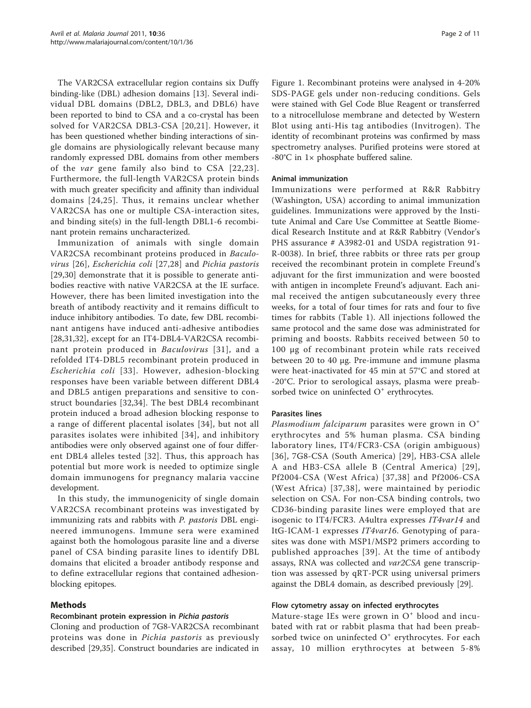The VAR2CSA extracellular region contains six Duffy binding-like (DBL) adhesion domains [[13\]](#page-9-0). Several individual DBL domains (DBL2, DBL3, and DBL6) have been reported to bind to CSA and a co-crystal has been solved for VAR2CSA DBL3-CSA [\[20,21\]](#page-9-0). However, it has been questioned whether binding interactions of single domains are physiologically relevant because many randomly expressed DBL domains from other members of the var gene family also bind to CSA [[22](#page-9-0),[23\]](#page-9-0). Furthermore, the full-length VAR2CSA protein binds with much greater specificity and affinity than individual domains [[24](#page-9-0),[25](#page-9-0)]. Thus, it remains unclear whether VAR2CSA has one or multiple CSA-interaction sites, and binding site(s) in the full-length DBL1-6 recombinant protein remains uncharacterized.

Immunization of animals with single domain VAR2CSA recombinant proteins produced in Baculovirus [[26\]](#page-9-0), Escherichia coli [[27](#page-9-0),[28\]](#page-9-0) and Pichia pastoris [[29,30](#page-9-0)] demonstrate that it is possible to generate antibodies reactive with native VAR2CSA at the IE surface. However, there has been limited investigation into the breath of antibody reactivity and it remains difficult to induce inhibitory antibodies. To date, few DBL recombinant antigens have induced anti-adhesive antibodies [[28,31,32\]](#page-9-0), except for an IT4-DBL4-VAR2CSA recombinant protein produced in Baculovirus [[31](#page-9-0)], and a refolded IT4-DBL5 recombinant protein produced in Escherichia coli [[33](#page-9-0)]. However, adhesion-blocking responses have been variable between different DBL4 and DBL5 antigen preparations and sensitive to construct boundaries [[32,34](#page-9-0)]. The best DBL4 recombinant protein induced a broad adhesion blocking response to a range of different placental isolates [[34](#page-9-0)], but not all parasites isolates were inhibited [[34\]](#page-9-0), and inhibitory antibodies were only observed against one of four different DBL4 alleles tested [[32\]](#page-9-0). Thus, this approach has potential but more work is needed to optimize single domain immunogens for pregnancy malaria vaccine development.

In this study, the immunogenicity of single domain VAR2CSA recombinant proteins was investigated by immunizing rats and rabbits with P. pastoris DBL engineered immunogens. Immune sera were examined against both the homologous parasite line and a diverse panel of CSA binding parasite lines to identify DBL domains that elicited a broader antibody response and to define extracellular regions that contained adhesionblocking epitopes.

## Methods

## Recombinant protein expression in Pichia pastoris

Cloning and production of 7G8-VAR2CSA recombinant proteins was done in Pichia pastoris as previously described [\[29,35](#page-9-0)]. Construct boundaries are indicated in

Figure [1](#page-2-0). Recombinant proteins were analysed in 4-20% SDS-PAGE gels under non-reducing conditions. Gels were stained with Gel Code Blue Reagent or transferred to a nitrocellulose membrane and detected by Western Blot using anti-His tag antibodies (Invitrogen). The identity of recombinant proteins was confirmed by mass spectrometry analyses. Purified proteins were stored at -80°C in 1× phosphate buffered saline.

#### Animal immunization

Immunizations were performed at R&R Rabbitry (Washington, USA) according to animal immunization guidelines. Immunizations were approved by the Institute Animal and Care Use Committee at Seattle Biomedical Research Institute and at R&R Rabbitry (Vendor's PHS assurance # A3982-01 and USDA registration 91- R-0038). In brief, three rabbits or three rats per group received the recombinant protein in complete Freund's adjuvant for the first immunization and were boosted with antigen in incomplete Freund's adjuvant. Each animal received the antigen subcutaneously every three weeks, for a total of four times for rats and four to five times for rabbits (Table [1\)](#page-3-0). All injections followed the same protocol and the same dose was administrated for priming and boosts. Rabbits received between 50 to 100 μg of recombinant protein while rats received between 20 to 40 μg. Pre-immune and immune plasma were heat-inactivated for 45 min at 57°C and stored at -20°C. Prior to serological assays, plasma were preabsorbed twice on uninfected  $O<sup>+</sup>$  erythrocytes.

## Parasites lines

Plasmodium falciparum parasites were grown in  $O^+$ erythrocytes and 5% human plasma. CSA binding laboratory lines, IT4/FCR3-CSA (origin ambiguous) [[36](#page-9-0)], 7G8-CSA (South America) [[29](#page-9-0)], HB3-CSA allele A and HB3-CSA allele B (Central America) [[29\]](#page-9-0), Pf2004-CSA (West Africa) [[37](#page-9-0),[38\]](#page-9-0) and Pf2006-CSA (West Africa) [[37,38](#page-9-0)], were maintained by periodic selection on CSA. For non-CSA binding controls, two CD36-binding parasite lines were employed that are isogenic to IT4/FCR3. A4ultra expresses IT4var14 and ItG-ICAM-1 expresses IT4var16. Genotyping of parasites was done with MSP1/MSP2 primers according to published approaches [[39\]](#page-9-0). At the time of antibody assays, RNA was collected and var2CSA gene transcription was assessed by qRT-PCR using universal primers against the DBL4 domain, as described previously [[29\]](#page-9-0).

## Flow cytometry assay on infected erythrocytes

Mature-stage IEs were grown in  $O<sup>+</sup>$  blood and incubated with rat or rabbit plasma that had been preabsorbed twice on uninfected  $O<sup>+</sup>$  erythrocytes. For each assay, 10 million erythrocytes at between 5-8%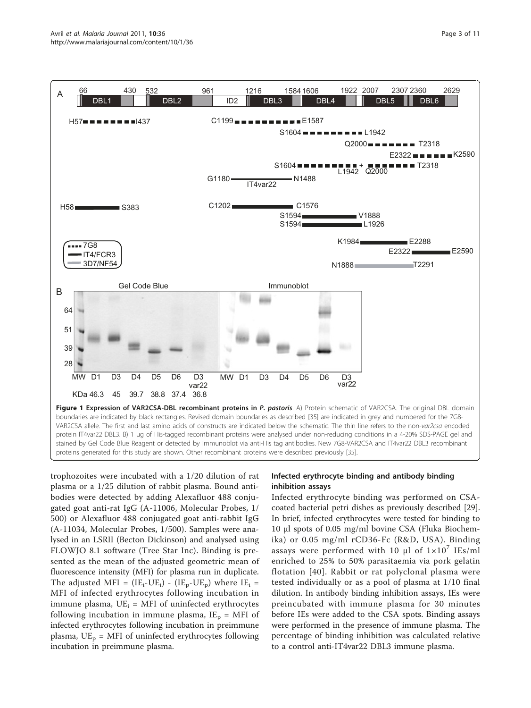<span id="page-2-0"></span>

trophozoites were incubated with a 1/20 dilution of rat plasma or a 1/25 dilution of rabbit plasma. Bound antibodies were detected by adding Alexafluor 488 conjugated goat anti-rat IgG (A-11006, Molecular Probes, 1/ 500) or Alexafluor 488 conjugated goat anti-rabbit IgG (A-11034, Molecular Probes, 1/500). Samples were analysed in an LSRII (Becton Dickinson) and analysed using FLOWJO 8.1 software (Tree Star Inc). Binding is presented as the mean of the adjusted geometric mean of fluorescence intensity (MFI) for plasma run in duplicate. The adjusted MFI =  $(IE_i-UE_i) - (IE_p-UE_p)$  where  $IE_i$  = MFI of infected erythrocytes following incubation in immune plasma,  $UE_i = MFI$  of uninfected erythrocytes following incubation in immune plasma,  $IE_p = MFI$  of infected erythrocytes following incubation in preimmune plasma,  $UE_p = MFI$  of uninfected erythrocytes following incubation in preimmune plasma.

## Infected erythrocyte binding and antibody binding inhibition assays

Infected erythrocyte binding was performed on CSAcoated bacterial petri dishes as previously described [[29](#page-9-0)]. In brief, infected erythrocytes were tested for binding to 10 μl spots of 0.05 mg/ml bovine CSA (Fluka Biochemika) or 0.05 mg/ml rCD36-Fc (R&D, USA). Binding assays were performed with 10  $\mu$ l of  $1 \times 10^{7}$  IEs/ml enriched to 25% to 50% parasitaemia via pork gelatin flotation [[40](#page-9-0)]. Rabbit or rat polyclonal plasma were tested individually or as a pool of plasma at 1/10 final dilution. In antibody binding inhibition assays, IEs were preincubated with immune plasma for 30 minutes before IEs were added to the CSA spots. Binding assays were performed in the presence of immune plasma. The percentage of binding inhibition was calculated relative to a control anti-IT4var22 DBL3 immune plasma.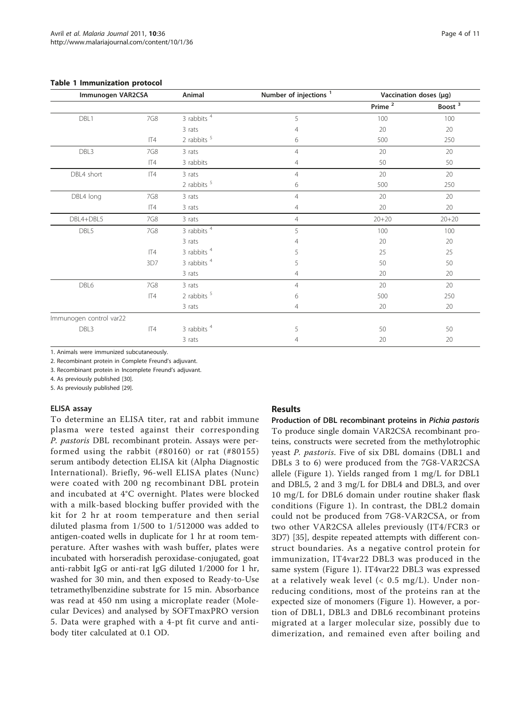#### <span id="page-3-0"></span>Table 1 Immunization protocol

| Immunogen VAR2CSA       |       | Animal        | Number of injections <sup>1</sup> | Vaccination doses (µg)  |           |
|-------------------------|-------|---------------|-----------------------------------|-------------------------|-----------|
|                         |       |               |                                   | $P$ rime $\overline{2}$ | Boost $3$ |
| DBL1                    | 7G8   | 3 rabbits $4$ | 5                                 | 100                     | 100       |
|                         |       | 3 rats        | $\overline{4}$                    | 20                      | 20        |
|                         | $\Pi$ | 2 rabbits $5$ | 6                                 | 500                     | 250       |
| DBL3                    | 7G8   | 3 rats        | $\overline{4}$                    | 20                      | 20        |
|                         | IT4   | 3 rabbits     | 4                                 | 50                      | 50        |
| DBL4 short              | IT4   | 3 rats        | $\overline{4}$                    | 20                      | 20        |
|                         |       | 2 rabbits $5$ | 6                                 | 500                     | 250       |
| DBL4 long               | 7G8   | 3 rats        | $\overline{4}$                    | 20                      | 20        |
|                         | $\Pi$ | 3 rats        | $\overline{4}$                    | 20                      | 20        |
| DBL4+DBL5               | 7G8   | 3 rats        | $\overline{4}$                    | $20 + 20$               | $20 + 20$ |
| DBL5                    | 7G8   | 3 rabbits $4$ | 5                                 | 100                     | 100       |
|                         |       | 3 rats        | 4                                 | 20                      | 20        |
|                         | $\Pi$ | 3 rabbits $4$ | 5                                 | 25                      | 25        |
|                         | 3D7   | 3 rabbits $4$ | 5                                 | 50                      | 50        |
|                         |       | 3 rats        | $\overline{4}$                    | 20                      | 20        |
| DBL6                    | 7G8   | 3 rats        | $\overline{4}$                    | 20                      | 20        |
|                         | IT4   | 2 rabbits $5$ | 6                                 | 500                     | 250       |
|                         |       | 3 rats        | 4                                 | 20                      | 20        |
| Immunogen control var22 |       |               |                                   |                         |           |
| DBL3                    | IT4   | 3 rabbits $4$ | 5                                 | 50                      | 50        |
|                         |       | 3 rats        | $\overline{4}$                    | 20                      | 20        |

1. Animals were immunized subcutaneously.

2. Recombinant protein in Complete Freund's adjuvant.

3. Recombinant protein in Incomplete Freund's adjuvant.

4. As previously published [[30\]](#page-9-0).

5. As previously published [[29\]](#page-9-0).

#### ELISA assay

To determine an ELISA titer, rat and rabbit immune plasma were tested against their corresponding P. pastoris DBL recombinant protein. Assays were performed using the rabbit (#80160) or rat (#80155) serum antibody detection ELISA kit (Alpha Diagnostic International). Briefly, 96-well ELISA plates (Nunc) were coated with 200 ng recombinant DBL protein and incubated at 4°C overnight. Plates were blocked with a milk-based blocking buffer provided with the kit for 2 hr at room temperature and then serial diluted plasma from 1/500 to 1/512000 was added to antigen-coated wells in duplicate for 1 hr at room temperature. After washes with wash buffer, plates were incubated with horseradish peroxidase-conjugated, goat anti-rabbit IgG or anti-rat IgG diluted 1/2000 for 1 hr, washed for 30 min, and then exposed to Ready-to-Use tetramethylbenzidine substrate for 15 min. Absorbance was read at 450 nm using a microplate reader (Molecular Devices) and analysed by SOFTmaxPRO version 5. Data were graphed with a 4-pt fit curve and antibody titer calculated at 0.1 OD.

#### Results

Production of DBL recombinant proteins in Pichia pastoris To produce single domain VAR2CSA recombinant proteins, constructs were secreted from the methylotrophic yeast P. pastoris. Five of six DBL domains (DBL1 and DBLs 3 to 6) were produced from the 7G8-VAR2CSA allele (Figure [1](#page-2-0)). Yields ranged from 1 mg/L for DBL1 and DBL5, 2 and 3 mg/L for DBL4 and DBL3, and over 10 mg/L for DBL6 domain under routine shaker flask conditions (Figure [1\)](#page-2-0). In contrast, the DBL2 domain could not be produced from 7G8-VAR2CSA, or from two other VAR2CSA alleles previously (IT4/FCR3 or 3D7) [[35](#page-9-0)], despite repeated attempts with different construct boundaries. As a negative control protein for immunization, IT4var22 DBL3 was produced in the same system (Figure [1](#page-2-0)). IT4var22 DBL3 was expressed at a relatively weak level  $( $0.5 \text{ mg/L}$ ). Under non$ reducing conditions, most of the proteins ran at the expected size of monomers (Figure [1](#page-2-0)). However, a portion of DBL1, DBL3 and DBL6 recombinant proteins migrated at a larger molecular size, possibly due to dimerization, and remained even after boiling and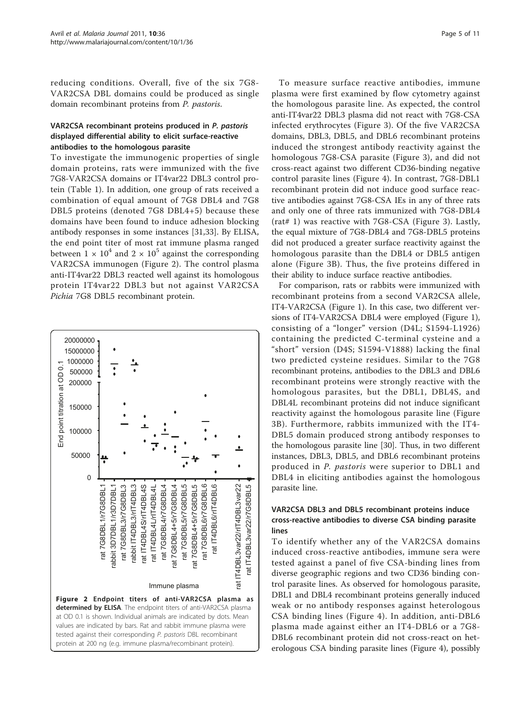reducing conditions. Overall, five of the six 7G8- VAR2CSA DBL domains could be produced as single domain recombinant proteins from P. pastoris.

## VAR2CSA recombinant proteins produced in P. pastoris displayed differential ability to elicit surface-reactive antibodies to the homologous parasite

To investigate the immunogenic properties of single domain proteins, rats were immunized with the five 7G8-VAR2CSA domains or IT4var22 DBL3 control protein (Table [1\)](#page-3-0). In addition, one group of rats received a combination of equal amount of 7G8 DBL4 and 7G8 DBL5 proteins (denoted 7G8 DBL4+5) because these domains have been found to induce adhesion blocking antibody responses in some instances [\[31,33\]](#page-9-0). By ELISA, the end point titer of most rat immune plasma ranged between  $1 \times 10^4$  and  $2 \times 10^5$  against the corresponding VAR2CSA immunogen (Figure 2). The control plasma anti-IT4var22 DBL3 reacted well against its homologous protein IT4var22 DBL3 but not against VAR2CSA Pichia 7G8 DBL5 recombinant protein.



To measure surface reactive antibodies, immune plasma were first examined by flow cytometry against the homologous parasite line. As expected, the control anti-IT4var22 DBL3 plasma did not react with 7G8-CSA infected erythrocytes (Figure [3\)](#page-5-0). Of the five VAR2CSA domains, DBL3, DBL5, and DBL6 recombinant proteins induced the strongest antibody reactivity against the homologous 7G8-CSA parasite (Figure [3](#page-5-0)), and did not cross-react against two different CD36-binding negative control parasite lines (Figure [4\)](#page-6-0). In contrast, 7G8-DBL1 recombinant protein did not induce good surface reactive antibodies against 7G8-CSA IEs in any of three rats and only one of three rats immunized with 7G8-DBL4 (rat# 1) was reactive with 7G8-CSA (Figure [3](#page-5-0)). Lastly, the equal mixture of 7G8-DBL4 and 7G8-DBL5 proteins did not produced a greater surface reactivity against the homologous parasite than the DBL4 or DBL5 antigen alone (Figure [3B](#page-5-0)). Thus, the five proteins differed in their ability to induce surface reactive antibodies.

For comparison, rats or rabbits were immunized with recombinant proteins from a second VAR2CSA allele, IT4-VAR2CSA (Figure [1](#page-2-0)). In this case, two different versions of IT4-VAR2CSA DBL4 were employed (Figure [1](#page-2-0)), consisting of a "longer" version (D4L; S1594-L1926) containing the predicted C-terminal cysteine and a "short" version (D4S; S1594-V1888) lacking the final two predicted cysteine residues. Similar to the 7G8 recombinant proteins, antibodies to the DBL3 and DBL6 recombinant proteins were strongly reactive with the homologous parasites, but the DBL1, DBL4S, and DBL4L recombinant proteins did not induce significant reactivity against the homologous parasite line (Figure [3B](#page-5-0)). Furthermore, rabbits immunized with the IT4- DBL5 domain produced strong antibody responses to the homologous parasite line [\[30\]](#page-9-0). Thus, in two different instances, DBL3, DBL5, and DBL6 recombinant proteins produced in P. pastoris were superior to DBL1 and DBL4 in eliciting antibodies against the homologous parasite line.

## VAR2CSA DBL3 and DBL5 recombinant proteins induce cross-reactive antibodies to diverse CSA binding parasite lines

To identify whether any of the VAR2CSA domains induced cross-reactive antibodies, immune sera were tested against a panel of five CSA-binding lines from diverse geographic regions and two CD36 binding control parasite lines. As observed for homologous parasite, DBL1 and DBL4 recombinant proteins generally induced weak or no antibody responses against heterologous CSA binding lines (Figure [4\)](#page-6-0). In addition, anti-DBL6 plasma made against either an IT4-DBL6 or a 7G8- DBL6 recombinant protein did not cross-react on heterologous CSA binding parasite lines (Figure [4\)](#page-6-0), possibly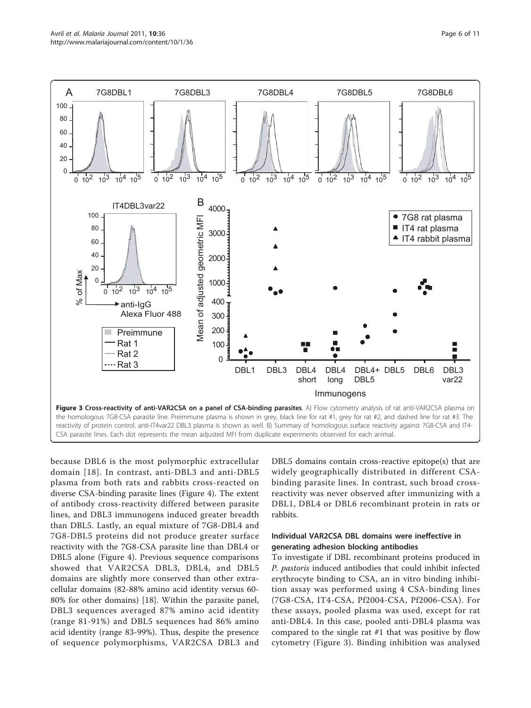<span id="page-5-0"></span>

because DBL6 is the most polymorphic extracellular domain [[18](#page-9-0)]. In contrast, anti-DBL3 and anti-DBL5 plasma from both rats and rabbits cross-reacted on diverse CSA-binding parasite lines (Figure [4\)](#page-6-0). The extent of antibody cross-reactivity differed between parasite lines, and DBL3 immunogens induced greater breadth than DBL5. Lastly, an equal mixture of 7G8-DBL4 and 7G8-DBL5 proteins did not produce greater surface reactivity with the 7G8-CSA parasite line than DBL4 or DBL5 alone (Figure [4](#page-6-0)). Previous sequence comparisons showed that VAR2CSA DBL3, DBL4, and DBL5 domains are slightly more conserved than other extracellular domains (82-88% amino acid identity versus 60- 80% for other domains) [[18\]](#page-9-0). Within the parasite panel, DBL3 sequences averaged 87% amino acid identity (range 81-91%) and DBL5 sequences had 86% amino acid identity (range 83-99%). Thus, despite the presence of sequence polymorphisms, VAR2CSA DBL3 and DBL5 domains contain cross-reactive epitope(s) that are widely geographically distributed in different CSAbinding parasite lines. In contrast, such broad crossreactivity was never observed after immunizing with a DBL1, DBL4 or DBL6 recombinant protein in rats or rabbits.

## Individual VAR2CSA DBL domains were ineffective in generating adhesion blocking antibodies

To investigate if DBL recombinant proteins produced in P. pastoris induced antibodies that could inhibit infected erythrocyte binding to CSA, an in vitro binding inhibition assay was performed using 4 CSA-binding lines (7G8-CSA, IT4-CSA, Pf2004-CSA, Pf2006-CSA). For these assays, pooled plasma was used, except for rat anti-DBL4. In this case, pooled anti-DBL4 plasma was compared to the single rat #1 that was positive by flow cytometry (Figure 3). Binding inhibition was analysed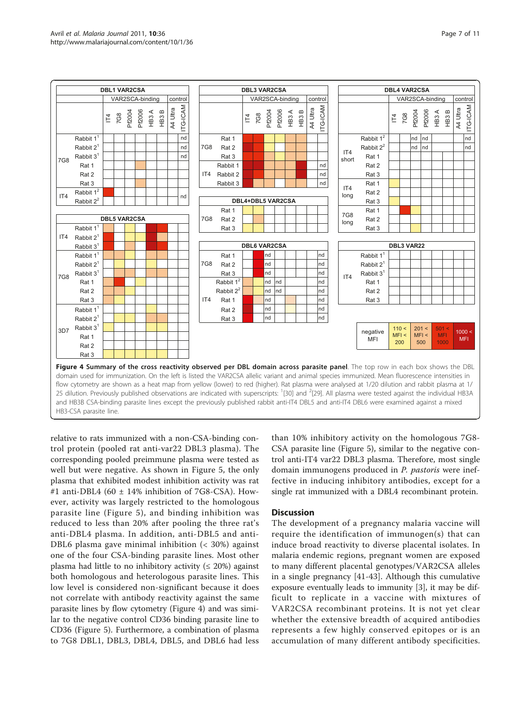<span id="page-6-0"></span>



relative to rats immunized with a non-CSA-binding control protein (pooled rat anti-var22 DBL3 plasma). The corresponding pooled preimmune plasma were tested as well but were negative. As shown in Figure [5](#page-7-0), the only plasma that exhibited modest inhibition activity was rat #1 anti-DBL4 (60 ± 14% inhibition of 7G8-CSA). However, activity was largely restricted to the homologous parasite line (Figure [5\)](#page-7-0), and binding inhibition was reduced to less than 20% after pooling the three rat's anti-DBL4 plasma. In addition, anti-DBL5 and anti-DBL6 plasma gave minimal inhibition (< 30%) against one of the four CSA-binding parasite lines. Most other plasma had little to no inhibitory activity ( $\leq 20\%$ ) against both homologous and heterologous parasite lines. This low level is considered non-significant because it does not correlate with antibody reactivity against the same parasite lines by flow cytometry (Figure 4) and was similar to the negative control CD36 binding parasite line to CD36 (Figure [5](#page-7-0)). Furthermore, a combination of plasma to 7G8 DBL1, DBL3, DBL4, DBL5, and DBL6 had less than 10% inhibitory activity on the homologous 7G8- CSA parasite line (Figure [5](#page-7-0)), similar to the negative control anti-IT4 var22 DBL3 plasma. Therefore, most single domain immunogens produced in P. pastoris were ineffective in inducing inhibitory antibodies, except for a single rat immunized with a DBL4 recombinant protein.

## **Discussion**

The development of a pregnancy malaria vaccine will require the identification of immunogen(s) that can induce broad reactivity to diverse placental isolates. In malaria endemic regions, pregnant women are exposed to many different placental genotypes/VAR2CSA alleles in a single pregnancy [\[41](#page-9-0)-[43\]](#page-10-0). Although this cumulative exposure eventually leads to immunity [\[3](#page-8-0)], it may be difficult to replicate in a vaccine with mixtures of VAR2CSA recombinant proteins. It is not yet clear whether the extensive breadth of acquired antibodies represents a few highly conserved epitopes or is an accumulation of many different antibody specificities.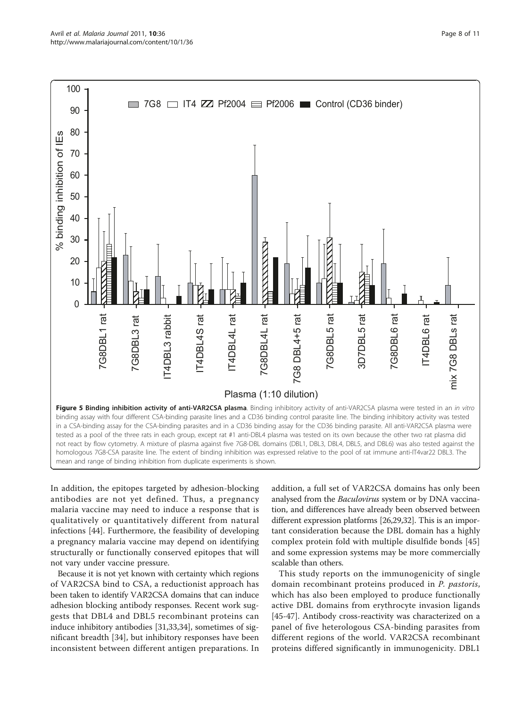<span id="page-7-0"></span>

In addition, the epitopes targeted by adhesion-blocking antibodies are not yet defined. Thus, a pregnancy malaria vaccine may need to induce a response that is qualitatively or quantitatively different from natural infections [[44](#page-10-0)]. Furthermore, the feasibility of developing a pregnancy malaria vaccine may depend on identifying structurally or functionally conserved epitopes that will not vary under vaccine pressure.

Because it is not yet known with certainty which regions of VAR2CSA bind to CSA, a reductionist approach has been taken to identify VAR2CSA domains that can induce adhesion blocking antibody responses. Recent work suggests that DBL4 and DBL5 recombinant proteins can induce inhibitory antibodies [\[31,33,34\]](#page-9-0), sometimes of significant breadth [\[34](#page-9-0)], but inhibitory responses have been inconsistent between different antigen preparations. In addition, a full set of VAR2CSA domains has only been analysed from the *Baculovirus* system or by DNA vaccination, and differences have already been observed between different expression platforms [\[26,29,32\]](#page-9-0). This is an important consideration because the DBL domain has a highly complex protein fold with multiple disulfide bonds [\[45](#page-10-0)] and some expression systems may be more commercially scalable than others.

This study reports on the immunogenicity of single domain recombinant proteins produced in P. pastoris, which has also been employed to produce functionally active DBL domains from erythrocyte invasion ligands [[45-47\]](#page-10-0). Antibody cross-reactivity was characterized on a panel of five heterologous CSA-binding parasites from different regions of the world. VAR2CSA recombinant proteins differed significantly in immunogenicity. DBL1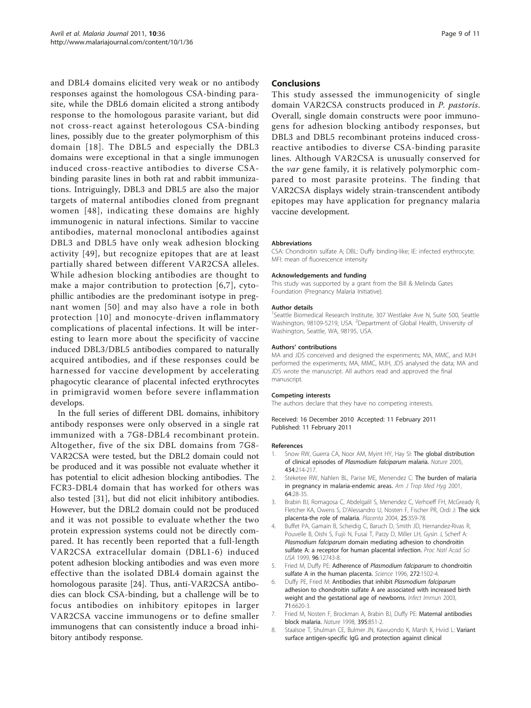<span id="page-8-0"></span>and DBL4 domains elicited very weak or no antibody responses against the homologous CSA-binding parasite, while the DBL6 domain elicited a strong antibody response to the homologous parasite variant, but did not cross-react against heterologous CSA-binding lines, possibly due to the greater polymorphism of this domain [[18](#page-9-0)]. The DBL5 and especially the DBL3 domains were exceptional in that a single immunogen induced cross-reactive antibodies to diverse CSAbinding parasite lines in both rat and rabbit immunizations. Intriguingly, DBL3 and DBL5 are also the major targets of maternal antibodies cloned from pregnant women [[48](#page-10-0)], indicating these domains are highly immunogenic in natural infections. Similar to vaccine antibodies, maternal monoclonal antibodies against DBL3 and DBL5 have only weak adhesion blocking activity [[49](#page-10-0)], but recognize epitopes that are at least partially shared between different VAR2CSA alleles. While adhesion blocking antibodies are thought to make a major contribution to protection [6,7], cytophillic antibodies are the predominant isotype in pregnant women [[50](#page-10-0)] and may also have a role in both protection [[10\]](#page-9-0) and monocyte-driven inflammatory complications of placental infections. It will be interesting to learn more about the specificity of vaccine induced DBL3/DBL5 antibodies compared to naturally acquired antibodies, and if these responses could be harnessed for vaccine development by accelerating phagocytic clearance of placental infected erythrocytes in primigravid women before severe inflammation develops.

In the full series of different DBL domains, inhibitory antibody responses were only observed in a single rat immunized with a 7G8-DBL4 recombinant protein. Altogether, five of the six DBL domains from 7G8- VAR2CSA were tested, but the DBL2 domain could not be produced and it was possible not evaluate whether it has potential to elicit adhesion blocking antibodies. The FCR3-DBL4 domain that has worked for others was also tested [[31\]](#page-9-0), but did not elicit inhibitory antibodies. However, but the DBL2 domain could not be produced and it was not possible to evaluate whether the two protein expression systems could not be directly compared. It has recently been reported that a full-length VAR2CSA extracellular domain (DBL1-6) induced potent adhesion blocking antibodies and was even more effective than the isolated DBL4 domain against the homologous parasite [\[24](#page-9-0)]. Thus, anti-VAR2CSA antibodies can block CSA-binding, but a challenge will be to focus antibodies on inhibitory epitopes in larger VAR2CSA vaccine immunogens or to define smaller immunogens that can consistently induce a broad inhibitory antibody response.

#### Conclusions

This study assessed the immunogenicity of single domain VAR2CSA constructs produced in P. pastoris. Overall, single domain constructs were poor immunogens for adhesion blocking antibody responses, but DBL3 and DBL5 recombinant proteins induced crossreactive antibodies to diverse CSA-binding parasite lines. Although VAR2CSA is unusually conserved for the var gene family, it is relatively polymorphic compared to most parasite proteins. The finding that VAR2CSA displays widely strain-transcendent antibody epitopes may have application for pregnancy malaria vaccine development.

#### Abbreviations

CSA: Chondroitin sulfate A; DBL: Duffy binding-like; IE: infected erythrocyte; MFI: mean of fluorescence intensity

#### Acknowledgements and funding

This study was supported by a grant from the Bill & Melinda Gates Foundation (Pregnancy Malaria Initiative).

#### Author details

<sup>1</sup>Seattle Biomedical Research Institute, 307 Westlake Ave N, Suite 500, Seattle Washington, 98109-5219, USA. <sup>2</sup>Department of Global Health, University of Washington, Seattle, WA, 98195, USA.

#### Authors' contributions

MA and JDS conceived and designed the experiments; MA, MMC, and MJH performed the experiments; MA, MMC, MJH, JDS analysed the data; MA and JDS wrote the manuscript. All authors read and approved the final manuscript.

#### Competing interests

The authors declare that they have no competing interests.

Received: 16 December 2010 Accepted: 11 February 2011 Published: 11 February 2011

#### References

- 1. Snow RW, Guerra CA, Noor AM, Myint HY, Hay SI: [The global distribution](http://www.ncbi.nlm.nih.gov/pubmed/15759000?dopt=Abstract) [of clinical episodes of](http://www.ncbi.nlm.nih.gov/pubmed/15759000?dopt=Abstract) Plasmodium falciparum malaria. Nature 2005, 434:214-217.
- 2. Steketee RW, Nahlen BL, Parise ME, Menendez C: [The burden of malaria](http://www.ncbi.nlm.nih.gov/pubmed/11425175?dopt=Abstract) [in pregnancy in malaria-endemic areas.](http://www.ncbi.nlm.nih.gov/pubmed/11425175?dopt=Abstract) Am J Trop Med Hyq 2001, 64:28-35.
- 3. Brabin BJ, Romagosa C, Abdelgalil S, Menendez C, Verhoeff FH, McGready R, Fletcher KA, Owens S, D'Alessandro U, Nosten F, Fischer PR, Ordi J: [The sick](http://www.ncbi.nlm.nih.gov/pubmed/15081631?dopt=Abstract) [placenta-the role of malaria.](http://www.ncbi.nlm.nih.gov/pubmed/15081631?dopt=Abstract) Placenta 2004, 25:359-78.
- Buffet PA, Gamain B, Scheidig C, Baruch D, Smith JD, Hernandez-Rivas R, Pouvelle B, Oishi S, Fujii N, Fusai T, Parzy D, Miller LH, Gysin J, Scherf A: Plasmodium falciparum [domain mediating adhesion to chondroitin](http://www.ncbi.nlm.nih.gov/pubmed/10535993?dopt=Abstract) [sulfate A: a receptor for human placental infection.](http://www.ncbi.nlm.nih.gov/pubmed/10535993?dopt=Abstract) Proc Natl Acad Sci USA 1999, 96:12743-8.
- 5. Fried M, Duffy PE: Adherence of [Plasmodium falciparum](http://www.ncbi.nlm.nih.gov/pubmed/8633247?dopt=Abstract) to chondroitin [sulfate A in the human placenta.](http://www.ncbi.nlm.nih.gov/pubmed/8633247?dopt=Abstract) Science 1996, 272:1502-4.
- 6. Duffy PE, Fried M: [Antibodies that inhibit](http://www.ncbi.nlm.nih.gov/pubmed/14573685?dopt=Abstract) Plasmodium falciparum [adhesion to chondroitin sulfate A are associated with increased birth](http://www.ncbi.nlm.nih.gov/pubmed/14573685?dopt=Abstract) [weight and the gestational age of newborns.](http://www.ncbi.nlm.nih.gov/pubmed/14573685?dopt=Abstract) Infect Immun 2003, 71:6620-3.
- 7. Fried M, Nosten F, Brockman A, Brabin BJ, Duffy PE: [Maternal antibodies](http://www.ncbi.nlm.nih.gov/pubmed/9804416?dopt=Abstract) [block malaria.](http://www.ncbi.nlm.nih.gov/pubmed/9804416?dopt=Abstract) Nature 1998, 395:851-2.
- 8. Staalsoe T, Shulman CE, Bulmer JN, Kawuondo K, Marsh K, Hviid L: [Variant](http://www.ncbi.nlm.nih.gov/pubmed/14751701?dopt=Abstract) [surface antigen-specific IgG and protection against clinical](http://www.ncbi.nlm.nih.gov/pubmed/14751701?dopt=Abstract)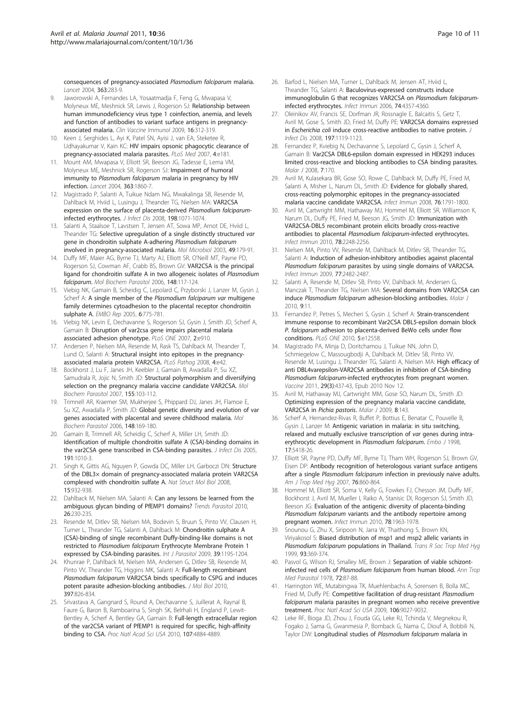<span id="page-9-0"></span>[consequences of pregnancy-associated](http://www.ncbi.nlm.nih.gov/pubmed/14751701?dopt=Abstract) Plasmodium falciparum malaria. Lancet 2004, 363:283-9.

- Jaworowski A, Fernandes LA, Yosaatmadja F, Feng G, Mwapasa V, Molyneux ME, Meshnick SR, Lewis J, Rogerson SJ: [Relationship between](http://www.ncbi.nlm.nih.gov/pubmed/19129467?dopt=Abstract) [human immunodeficiency virus type 1 coinfection, anemia, and levels](http://www.ncbi.nlm.nih.gov/pubmed/19129467?dopt=Abstract) [and function of antibodies to variant surface antigens in pregnancy](http://www.ncbi.nlm.nih.gov/pubmed/19129467?dopt=Abstract)[associated malaria.](http://www.ncbi.nlm.nih.gov/pubmed/19129467?dopt=Abstract) Clin Vaccine Immunol 2009, 16:312-319.
- 10. Keen J, Serghides L, Ayi K, Patel SN, Ayisi J, van EA, Steketee R, Udhayakumar V, Kain KC: [HIV impairs opsonic phagocytic clearance of](http://www.ncbi.nlm.nih.gov/pubmed/17535103?dopt=Abstract) [pregnancy-associated malaria parasites.](http://www.ncbi.nlm.nih.gov/pubmed/17535103?dopt=Abstract) PLoS Med 2007, 4:e181.
- 11. Mount AM, Mwapasa V, Elliott SR, Beeson JG, Tadesse E, Lema VM, Molyneux ME, Meshnick SR, Rogerson SJ: [Impairment of humoral](http://www.ncbi.nlm.nih.gov/pubmed/15183624?dopt=Abstract) immunity to Plasmodium falciparum [malaria in pregnancy by HIV](http://www.ncbi.nlm.nih.gov/pubmed/15183624?dopt=Abstract) [infection.](http://www.ncbi.nlm.nih.gov/pubmed/15183624?dopt=Abstract) Lancet 2004, 363:1860-7.
- 12. Magistrado P, Salanti A, Tuikue Ndam NG, Mwakalinga SB, Resende M, Dahlback M, Hviid L, Lusingu J, Theander TG, Nielsen MA: [VAR2CSA](http://www.ncbi.nlm.nih.gov/pubmed/18700835?dopt=Abstract) [expression on the surface of placenta-derived](http://www.ncbi.nlm.nih.gov/pubmed/18700835?dopt=Abstract) Plasmodium falciparum[infected erythrocytes.](http://www.ncbi.nlm.nih.gov/pubmed/18700835?dopt=Abstract) J Infect Dis 2008, 198:1071-1074.
- 13. Salanti A, Staalsoe T, Lavstsen T, Jensen AT, Sowa MP, Arnot DE, Hviid L, Theander TG: [Selective upregulation of a single distinctly structured](http://www.ncbi.nlm.nih.gov/pubmed/12823820?dopt=Abstract) var [gene in chondroitin sulphate A-adhering](http://www.ncbi.nlm.nih.gov/pubmed/12823820?dopt=Abstract) Plasmodium falciparum [involved in pregnancy-associated malaria.](http://www.ncbi.nlm.nih.gov/pubmed/12823820?dopt=Abstract) Mol Microbiol 2003, 49:179-91.
- 14. Duffy MF, Maier AG, Byrne TJ, Marty AJ, Elliott SR, O'Neill MT, Payne PD, Rogerson SJ, Cowman AF, Crabb BS, Brown GV: [VAR2CSA is the principal](http://www.ncbi.nlm.nih.gov/pubmed/16631964?dopt=Abstract) [ligand for chondroitin sulfate A in two allogeneic isolates of](http://www.ncbi.nlm.nih.gov/pubmed/16631964?dopt=Abstract) Plasmodium [falciparum](http://www.ncbi.nlm.nih.gov/pubmed/16631964?dopt=Abstract). Mol Biochem Parasitol 2006, 148:117-124.
- 15. Viebig NK, Gamain B, Scheidig C, Lepolard C, Przyborski J, Lanzer M, Gysin J, Scherf A: [A single member of the](http://www.ncbi.nlm.nih.gov/pubmed/16025132?dopt=Abstract) Plasmodium falciparum var multigene [family determines cytoadhesion to the placental receptor chondroitin](http://www.ncbi.nlm.nih.gov/pubmed/16025132?dopt=Abstract) [sulphate A.](http://www.ncbi.nlm.nih.gov/pubmed/16025132?dopt=Abstract) EMBO Rep 2005, 6:775-781.
- 16. Viebig NK, Levin E, Dechavanne S, Rogerson SJ, Gysin J, Smith JD, Scherf A, Gamain B: [Disruption of var2csa gene impairs placental malaria](http://www.ncbi.nlm.nih.gov/pubmed/17878945?dopt=Abstract) [associated adhesion phenotype.](http://www.ncbi.nlm.nih.gov/pubmed/17878945?dopt=Abstract) PLoS ONE 2007, 2:e910.
- 17. Andersen P, Nielsen MA, Resende M, Rask TS, Dahlback M, Theander T, Lund O, Salanti A: [Structural insight into epitopes in the pregnancy](http://www.ncbi.nlm.nih.gov/pubmed/18282103?dopt=Abstract)[associated malaria protein VAR2CSA.](http://www.ncbi.nlm.nih.gov/pubmed/18282103?dopt=Abstract) PLoS Pathog 2008, 4:e42.
- 18. Bockhorst J, Lu F, Janes JH, Keebler J, Gamain B, Awadalla P, Su XZ, Samudrala R, Jojic N, Smith JD: [Structural polymorphism and diversifying](http://www.ncbi.nlm.nih.gov/pubmed/17669514?dopt=Abstract) [selection on the pregnancy malaria vaccine candidate VAR2CSA.](http://www.ncbi.nlm.nih.gov/pubmed/17669514?dopt=Abstract) Mol Biochem Parasitol 2007, 155:103-112.
- 19. Trimnell AR, Kraemer SM, Mukherjee S, Phippard DJ, Janes JH, Flamoe E, Su XZ, Awadalla P, Smith JD: [Global genetic diversity and evolution of var](http://www.ncbi.nlm.nih.gov/pubmed/16697476?dopt=Abstract) [genes associated with placental and severe childhood malaria.](http://www.ncbi.nlm.nih.gov/pubmed/16697476?dopt=Abstract) Mol Biochem Parasitol 2006, 148:169-180.
- 20. Gamain B, Trimnell AR, Scheidig C, Scherf A, Miller LH, Smith JD: [Identification of multiple chondroitin sulfate A \(CSA\)-binding domains in](http://www.ncbi.nlm.nih.gov/pubmed/15717280?dopt=Abstract) [the var2CSA gene transcribed in CSA-binding parasites.](http://www.ncbi.nlm.nih.gov/pubmed/15717280?dopt=Abstract) *J Infect Dis* 2005, 191:1010-3.
- 21. Singh K, Gittis AG, Nguyen P, Gowda DC, Miller LH, Garboczi DN: [Structure](http://www.ncbi.nlm.nih.gov/pubmed/19172746?dopt=Abstract) [of the DBL3× domain of pregnancy-associated malaria protein VAR2CSA](http://www.ncbi.nlm.nih.gov/pubmed/19172746?dopt=Abstract) [complexed with chondroitin sulfate A.](http://www.ncbi.nlm.nih.gov/pubmed/19172746?dopt=Abstract) Nat Struct Mol Biol 2008, 15:932-938.
- 22. Dahlback M, Nielsen MA, Salanti A: [Can any lessons be learned from the](http://www.ncbi.nlm.nih.gov/pubmed/20189879?dopt=Abstract) [ambiguous glycan binding of PfEMP1 domains?](http://www.ncbi.nlm.nih.gov/pubmed/20189879?dopt=Abstract) Trends Parasitol 2010, 26:230-235.
- 23. Resende M, Ditlev SB, Nielsen MA, Bodevin S, Bruun S, Pinto VV, Clausen H, Turner L, Theander TG, Salanti A, Dahlback M: [Chondroitin sulphate A](http://www.ncbi.nlm.nih.gov/pubmed/19324047?dopt=Abstract) [\(CSA\)-binding of single recombinant Duffy-binding-like domains is not](http://www.ncbi.nlm.nih.gov/pubmed/19324047?dopt=Abstract) restricted to Plasmodium falciparum [Erythrocyte Membrane Protein 1](http://www.ncbi.nlm.nih.gov/pubmed/19324047?dopt=Abstract) [expressed by CSA-binding parasites.](http://www.ncbi.nlm.nih.gov/pubmed/19324047?dopt=Abstract) Int J Parasitol 2009, 39:1195-1204.
- 24. Khunrae P, Dahlback M, Nielsen MA, Andersen G, Ditlev SB, Resende M, Pinto W, Theander TG, Higgins MK, Salanti A: [Full-length recombinant](http://www.ncbi.nlm.nih.gov/pubmed/20109466?dopt=Abstract) Plasmodium falciparum [VAR2CSA binds specifically to CSPG and induces](http://www.ncbi.nlm.nih.gov/pubmed/20109466?dopt=Abstract) [potent parasite adhesion-blocking antibodies.](http://www.ncbi.nlm.nih.gov/pubmed/20109466?dopt=Abstract) J Mol Biol 2010, 397:826-834.
- 25. Srivastava A, Gangnard S, Round A, Dechavanne S, Juillerat A, Raynal B, Faure G, Baron B, Ramboarina S, Singh SK, Belrhali H, England P, Lewit-Bentley A, Scherf A, Bentley GA, Gamain B: [Full-length extracellular region](http://www.ncbi.nlm.nih.gov/pubmed/20194779?dopt=Abstract) [of the var2CSA variant of PfEMP1 is required for specific, high-affinity](http://www.ncbi.nlm.nih.gov/pubmed/20194779?dopt=Abstract) [binding to CSA.](http://www.ncbi.nlm.nih.gov/pubmed/20194779?dopt=Abstract) Proc Natl Acad Sci USA 2010, 107:4884-4889.
- 26. Barfod L, Nielsen MA, Turner L, Dahlback M, Jensen AT, Hviid L, Theander TG, Salanti A: [Baculovirus-expressed constructs induce](http://www.ncbi.nlm.nih.gov/pubmed/16790811?dopt=Abstract) [immunoglobulin G that recognizes VAR2CSA on](http://www.ncbi.nlm.nih.gov/pubmed/16790811?dopt=Abstract) Plasmodium falciparum[infected erythrocytes.](http://www.ncbi.nlm.nih.gov/pubmed/16790811?dopt=Abstract) Infect Immun 2006, 74:4357-4360.
- 27. Oleinikov AV, Francis SE, Dorfman JR, Rossnagle E, Balcaitis S, Getz T, Avril M, Gose S, Smith JD, Fried M, Duffy PE: [VAR2CSA domains expressed](http://www.ncbi.nlm.nih.gov/pubmed/18462161?dopt=Abstract) in Escherichia coli [induce cross-reactive antibodies to native protein.](http://www.ncbi.nlm.nih.gov/pubmed/18462161?dopt=Abstract) Infect Dis 2008, 197:1119-1123.
- 28. Fernandez P, Kviebig N, Dechavanne S, Lepolard C, Gysin J, Scherf A, Gamain B: [Var2CSA DBL6-epsilon domain expressed in HEK293 induces](http://www.ncbi.nlm.nih.gov/pubmed/18771584?dopt=Abstract) [limited cross-reactive and blocking antibodies to CSA binding parasites.](http://www.ncbi.nlm.nih.gov/pubmed/18771584?dopt=Abstract) Malar J 2008, 7:170.
- 29. Avril M, Kulasekara BR, Gose SO, Rowe C, Dahlback M, Duffy PE, Fried M, Salanti A, Misher L, Narum DL, Smith JD: [Evidence for globally shared,](http://www.ncbi.nlm.nih.gov/pubmed/18250177?dopt=Abstract) [cross-reacting polymorphic epitopes in the pregnancy-associated](http://www.ncbi.nlm.nih.gov/pubmed/18250177?dopt=Abstract) [malaria vaccine candidate VAR2CSA.](http://www.ncbi.nlm.nih.gov/pubmed/18250177?dopt=Abstract) Infect Immun 2008, 76:1791-1800.
- 30. Avril M, Cartwright MM, Hathaway MJ, Hommel M, Elliott SR, Williamson K, Narum DL, Duffy PE, Fried M, Beeson JG, Smith JD: [Immunization with](http://www.ncbi.nlm.nih.gov/pubmed/20194590?dopt=Abstract) [VAR2CSA-DBL5 recombinant protein elicits broadly cross-reactive](http://www.ncbi.nlm.nih.gov/pubmed/20194590?dopt=Abstract) [antibodies to placental](http://www.ncbi.nlm.nih.gov/pubmed/20194590?dopt=Abstract) Plasmodium falciparum-infected erythrocytes. Infect Immun 2010, 78:2248-2256.
- 31. Nielsen MA, Pinto VV, Resende M, Dahlback M, Ditlev SB, Theander TG, Salanti A: [Induction of adhesion-inhibitory antibodies against placental](http://www.ncbi.nlm.nih.gov/pubmed/19307213?dopt=Abstract) Plasmodium falciparum [parasites by using single domains of VAR2CSA.](http://www.ncbi.nlm.nih.gov/pubmed/19307213?dopt=Abstract) Infect Immun 2009, 77:2482-2487.
- 32. Salanti A, Resende M, Ditlev SB, Pinto VV, Dahlback M, Andersen G, Manczak T, Theander TG, Nielsen MA: [Several domains from VAR2CSA can](http://www.ncbi.nlm.nih.gov/pubmed/20064234?dopt=Abstract) induce Plasmodium falciparum [adhesion-blocking antibodies.](http://www.ncbi.nlm.nih.gov/pubmed/20064234?dopt=Abstract) Malar J 2010, 9:11.
- 33. Fernandez P, Petres S, Mecheri S, Gysin J, Scherf A: [Strain-transcendent](http://www.ncbi.nlm.nih.gov/pubmed/20838433?dopt=Abstract) [immune response to recombinant Var2CSA DBL5-epsilon domain block](http://www.ncbi.nlm.nih.gov/pubmed/20838433?dopt=Abstract) P. falciparum [adhesion to placenta-derived BeWo cells under flow](http://www.ncbi.nlm.nih.gov/pubmed/20838433?dopt=Abstract) [conditions.](http://www.ncbi.nlm.nih.gov/pubmed/20838433?dopt=Abstract) PLoS ONE 2010, 5:e12558.
- 34. Magistrado PA, Minja D, Doritchamou J, Tuikue NN, John D, Schmiegelow C, Massougbodji A, Dahlback M, Ditlev SB, Pinto VV, Resende M, Lusingu J, Theander TG, Salanti A, Nielsen MA: [High efficacy of](http://www.ncbi.nlm.nih.gov/pubmed/21075162?dopt=Abstract) [anti DBL4varepsilon-VAR2CSA antibodies in inhibition of CSA-binding](http://www.ncbi.nlm.nih.gov/pubmed/21075162?dopt=Abstract) Plasmodium falciparum[-infected erythrocytes from pregnant women.](http://www.ncbi.nlm.nih.gov/pubmed/21075162?dopt=Abstract) Vaccine 2011, 29(3):437-43, Epub 2010 Nov 12.
- 35. Avril M, Hathaway MJ, Cartwright MM, Gose SO, Narum DL, Smith JD: [Optimizing expression of the pregnancy malaria vaccine candidate,](http://www.ncbi.nlm.nih.gov/pubmed/19563628?dopt=Abstract) [VAR2CSA in](http://www.ncbi.nlm.nih.gov/pubmed/19563628?dopt=Abstract) Pichia pastoris. Malar J 2009, 8:143.
- 36. Scherf A, Hernandez-Rivas R, Buffet P, Bottius E, Benatar C, Pouvelle B, Gysin J, Lanzer M: [Antigenic variation in malaria: in situ switching,](http://www.ncbi.nlm.nih.gov/pubmed/9736619?dopt=Abstract) [relaxed and mutually exclusive transcription of](http://www.ncbi.nlm.nih.gov/pubmed/9736619?dopt=Abstract) var genes during intra[erythrocytic development in](http://www.ncbi.nlm.nih.gov/pubmed/9736619?dopt=Abstract) Plasmodium falciparum. Embo J 1998, 17:5418-26.
- 37. Elliott SR, Payne PD, Duffy MF, Byrne TJ, Tham WH, Rogerson SJ, Brown GV, Eisen DP: [Antibody recognition of heterologous variant surface antigens](http://www.ncbi.nlm.nih.gov/pubmed/17488905?dopt=Abstract) after a single Plasmodium falciparum [infection in previously naive adults.](http://www.ncbi.nlm.nih.gov/pubmed/17488905?dopt=Abstract) Am J Trop Med Hyg 2007, 76:860-864.
- 38. Hommel M, Elliott SR, Soma V, Kelly G, Fowkes FJ, Chesson JM, Duffy MF, Bockhorst J, Avril M, Mueller I, Raiko A, Stanisic DI, Rogerson SJ, Smith JD, Beeson JG: [Evaluation of the antigenic diversity of placenta-binding](http://www.ncbi.nlm.nih.gov/pubmed/20160014?dopt=Abstract) Plasmodium falciparum [variants and the antibody repertoire among](http://www.ncbi.nlm.nih.gov/pubmed/20160014?dopt=Abstract) [pregnant women.](http://www.ncbi.nlm.nih.gov/pubmed/20160014?dopt=Abstract) Infect Immun 2010, 78:1963-1978.
- 39. Snounou G, Zhu X, Siripoon N, Jarra W, Thaithong S, Brown KN, Viriyakosol S: [Biased distribution of msp1 and msp2 allelic variants in](http://www.ncbi.nlm.nih.gov/pubmed/10674079?dopt=Abstract) Plasmodium falciparum [populations in Thailand.](http://www.ncbi.nlm.nih.gov/pubmed/10674079?dopt=Abstract) Trans R Soc Trop Med Hyg 1999, 93:369-374.
- 40. Pasvol G, Wilson RJ, Smalley ME, Brown J: Separation [of viable schizont](http://www.ncbi.nlm.nih.gov/pubmed/350172?dopt=Abstract)[infected red cells of](http://www.ncbi.nlm.nih.gov/pubmed/350172?dopt=Abstract) Plasmodium falciparum from human blood. Ann Trop Med Parasitol 1978, 72:87-88.
- 41. Harrington WE, Mutabingwa TK, Muehlenbachs A, Sorensen B, Bolla MC, Fried M, Duffy PE: [Competitive facilitation of drug-resistant](http://www.ncbi.nlm.nih.gov/pubmed/19451638?dopt=Abstract) Plasmodium falciparum [malaria parasites in pregnant women who receive preventive](http://www.ncbi.nlm.nih.gov/pubmed/19451638?dopt=Abstract) [treatment.](http://www.ncbi.nlm.nih.gov/pubmed/19451638?dopt=Abstract) Proc Natl Acad Sci USA 2009, 106:9027-9032.
- 42. Leke RF, Bioga JD, Zhou J, Fouda GG, Leke RJ, Tchinda V, Megnekou R, Fogako J, Sama G, Gwanmesia P, Bomback G, Nama C, Diouf A, Bobbili N, Taylor DW: [Longitudinal studies of](http://www.ncbi.nlm.nih.gov/pubmed/21036826?dopt=Abstract) Plasmodium falciparum malaria in